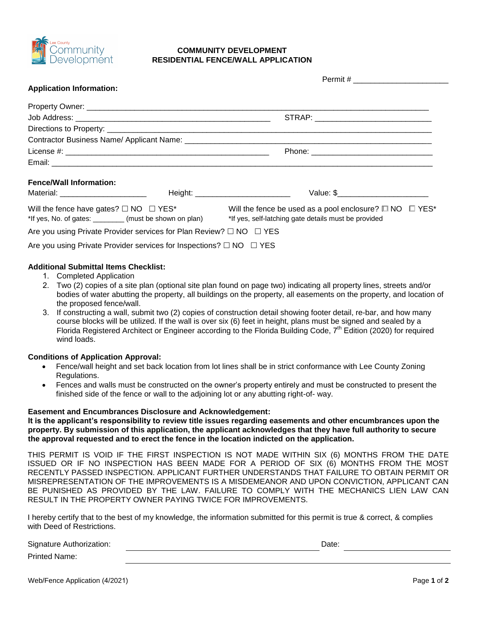

# **COMMUNITY DEVELOPMENT RESIDENTIAL FENCE/WALL APPLICATION**

| <b>Application Information:</b>                                               |                                                                         |
|-------------------------------------------------------------------------------|-------------------------------------------------------------------------|
|                                                                               |                                                                         |
|                                                                               | STRAP: ______________________________                                   |
|                                                                               |                                                                         |
|                                                                               |                                                                         |
|                                                                               |                                                                         |
|                                                                               |                                                                         |
| <b>Fence/Wall Information:</b>                                                |                                                                         |
| Material: _________________________                                           | Value: \$                                                               |
| Will the fence have gates? $\Box$ NO $\Box$ YES*                              | Will the fence be used as a pool enclosure? $\square$ NO $\square$ YES* |
| *If yes, No. of gates: ________ (must be shown on plan)                       | *If yes, self-latching gate details must be provided                    |
| Are you using Private Provider services for Plan Review? $\Box$ NO $\Box$ YES |                                                                         |
| Are you using Private Provider services for Inspections? $\Box$ NO $\Box$ YES |                                                                         |

### **Additional Submittal Items Checklist:**

- 1. Completed Application
- 2. Two (2) copies of a site plan (optional site plan found on page two) indicating all property lines, streets and/or bodies of water abutting the property, all buildings on the property, all easements on the property, and location of the proposed fence/wall.
- 3. If constructing a wall, submit two (2) copies of construction detail showing footer detail, re-bar, and how many course blocks will be utilized. If the wall is over six (6) feet in height, plans must be signed and sealed by a Florida Registered Architect or Engineer according to the Florida Building Code, 7<sup>th</sup> Edition (2020) for required wind loads.

### **Conditions of Application Approval:**

- Fence/wall height and set back location from lot lines shall be in strict conformance with Lee County Zoning Regulations.
- Fences and walls must be constructed on the owner's property entirely and must be constructed to present the finished side of the fence or wall to the adjoining lot or any abutting right-of- way.

#### **Easement and Encumbrances Disclosure and Acknowledgement:**

**It is the applicant's responsibility to review title issues regarding easements and other encumbrances upon the property. By submission of this application, the applicant acknowledges that they have full authority to secure the approval requested and to erect the fence in the location indicted on the application.** 

THIS PERMIT IS VOID IF THE FIRST INSPECTION IS NOT MADE WITHIN SIX (6) MONTHS FROM THE DATE ISSUED OR IF NO INSPECTION HAS BEEN MADE FOR A PERIOD OF SIX (6) MONTHS FROM THE MOST RECENTLY PASSED INSPECTION. APPLICANT FURTHER UNDERSTANDS THAT FAILURE TO OBTAIN PERMIT OR MISREPRESENTATION OF THE IMPROVEMENTS IS A MISDEMEANOR AND UPON CONVICTION, APPLICANT CAN BE PUNISHED AS PROVIDED BY THE LAW. FAILURE TO COMPLY WITH THE MECHANICS LIEN LAW CAN RESULT IN THE PROPERTY OWNER PAYING TWICE FOR IMPROVEMENTS.

I hereby certify that to the best of my knowledge, the information submitted for this permit is true & correct, & complies with Deed of Restrictions.

Signature Authorization: **Date:** Date: **Date:** Date: **Date: Date: Date: Date: Date: Date: Date: Date: Date: Date: Date: Date: Date: Date: Date: Date: Date: Date: Date: Date: Date:**

Printed Name:

Web/Fence Application (4/2021)